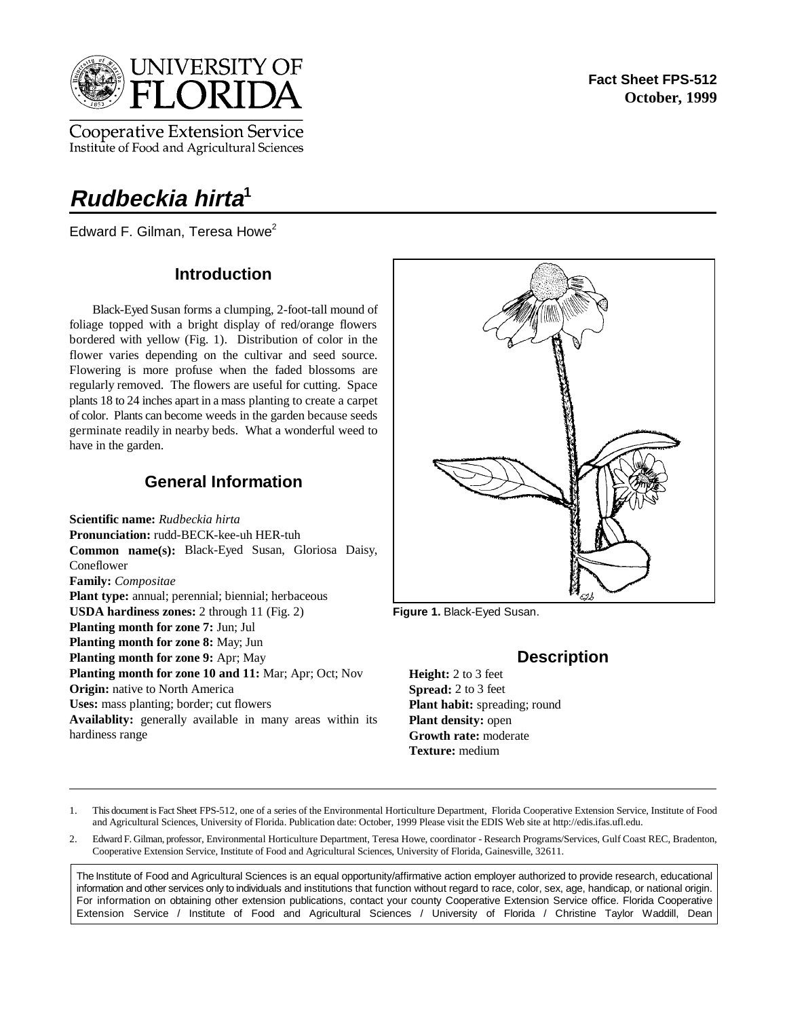

**Cooperative Extension Service** Institute of Food and Agricultural Sciences

# **Rudbeckia hirta<sup>1</sup>**

Edward F. Gilman, Teresa Howe $2$ 

## **Introduction**

Black-Eyed Susan forms a clumping, 2-foot-tall mound of foliage topped with a bright display of red/orange flowers bordered with yellow (Fig. 1). Distribution of color in the flower varies depending on the cultivar and seed source. Flowering is more profuse when the faded blossoms are regularly removed. The flowers are useful for cutting. Space plants 18 to 24 inches apart in a mass planting to create a carpet of color. Plants can become weeds in the garden because seeds germinate readily in nearby beds. What a wonderful weed to have in the garden.

## **General Information**

**Scientific name:** *Rudbeckia hirta* **Pronunciation:** rudd-BECK-kee-uh HER-tuh **Common name(s):** Black-Eyed Susan, Gloriosa Daisy, Coneflower **Family:** *Compositae* Plant type: annual; perennial; biennial; herbaceous **USDA hardiness zones:** 2 through 11 (Fig. 2) **Planting month for zone 7:** Jun; Jul **Planting month for zone 8:** May; Jun **Planting month for zone 9:** Apr; May **Planting month for zone 10 and 11:** Mar; Apr; Oct; Nov **Origin:** native to North America **Uses:** mass planting; border; cut flowers **Availablity:** generally available in many areas within its hardiness range



**Figure 1.** Black-Eyed Susan.

## **Description**

**Height:** 2 to 3 feet **Spread:** 2 to 3 feet Plant habit: spreading; round **Plant density:** open **Growth rate:** moderate **Texture:** medium

- 1. This document is Fact Sheet FPS-512, one of a series of the Environmental Horticulture Department, Florida Cooperative Extension Service, Institute of Food and Agricultural Sciences, University of Florida. Publication date: October, 1999 Please visit the EDIS Web site at http://edis.ifas.ufl.edu.
- 2. Edward F. Gilman, professor, Environmental Horticulture Department, Teresa Howe, coordinator Research Programs/Services, Gulf Coast REC, Bradenton, Cooperative Extension Service, Institute of Food and Agricultural Sciences, University of Florida, Gainesville, 32611.

The Institute of Food and Agricultural Sciences is an equal opportunity/affirmative action employer authorized to provide research, educational information and other services only to individuals and institutions that function without regard to race, color, sex, age, handicap, or national origin. For information on obtaining other extension publications, contact your county Cooperative Extension Service office. Florida Cooperative Extension Service / Institute of Food and Agricultural Sciences / University of Florida / Christine Taylor Waddill, Dean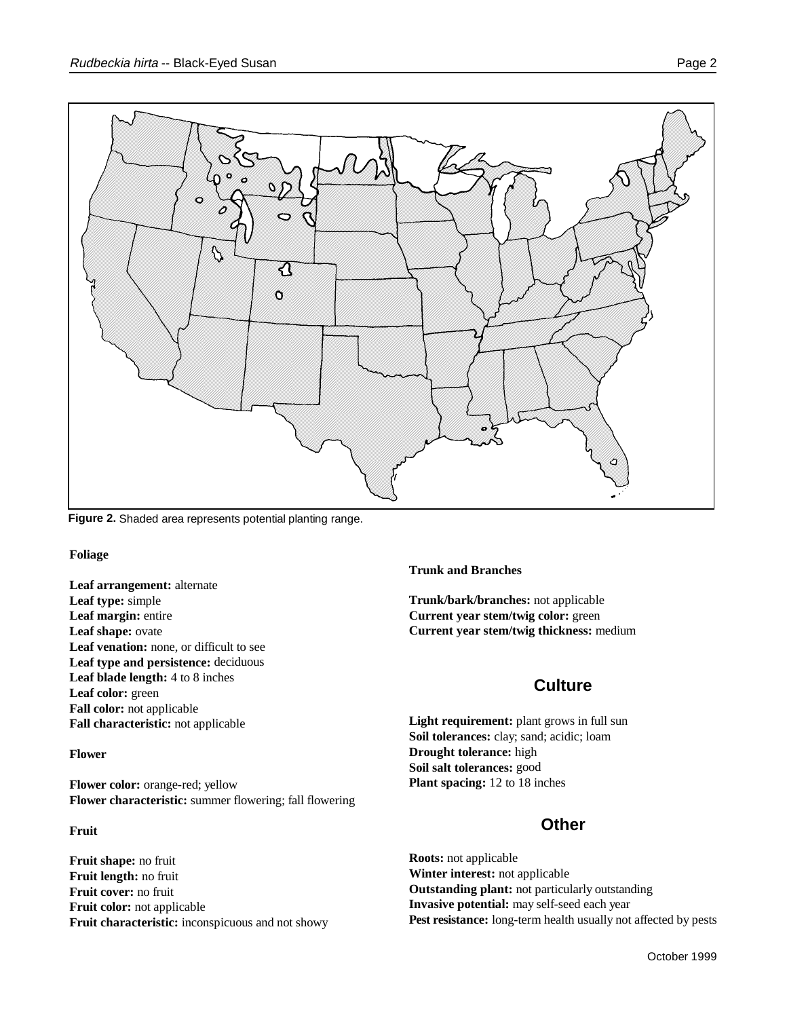

**Figure 2.** Shaded area represents potential planting range.

**Foliage** 

**Leaf arrangement:** alternate **Leaf type:** simple **Leaf margin:** entire **Leaf shape:** ovate Leaf venation: none, or difficult to see **Leaf type and persistence:** deciduous **Leaf blade length:** 4 to 8 inches Leaf color: green **Fall color:** not applicable **Fall characteristic:** not applicable

#### **Flower**

**Flower color:** orange-red; yellow **Flower characteristic:** summer flowering; fall flowering

#### **Fruit**

**Fruit shape:** no fruit **Fruit length:** no fruit **Fruit cover:** no fruit **Fruit color:** not applicable **Fruit characteristic:** inconspicuous and not showy **Trunk and Branches**

**Trunk/bark/branches:** not applicable **Current year stem/twig color:** green **Current year stem/twig thickness:** medium

### **Culture**

Light requirement: plant grows in full sun **Soil tolerances:** clay; sand; acidic; loam **Drought tolerance:** high **Soil salt tolerances:** good **Plant spacing:** 12 to 18 inches

### **Other**

**Roots:** not applicable **Winter interest:** not applicable **Outstanding plant:** not particularly outstanding **Invasive potential:** may self-seed each year Pest resistance: long-term health usually not affected by pests